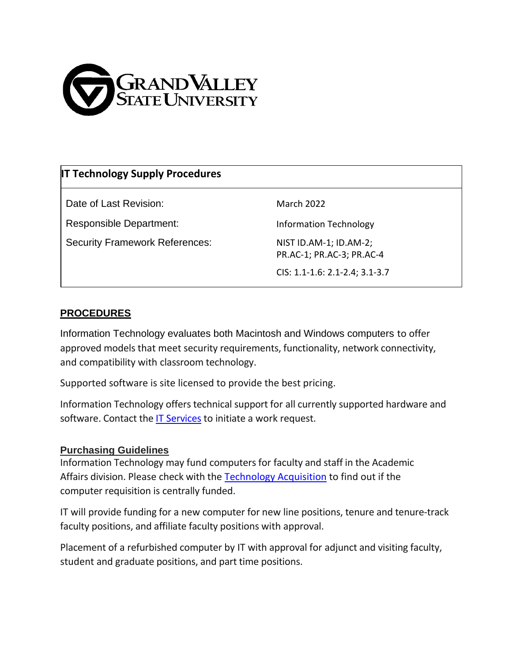

# **IT Technology Supply Procedures**

Date of Last Revision: March 2022

Responsible Department: Information Technology

Security Framework References: NIST ID.AM-1; ID.AM-2;

PR.AC-1; PR.AC-3; PR.AC-4

CIS: 1.1-1.6: 2.1-2.4; 3.1-3.7

## **PROCEDURES**

Information Technology evaluates both Macintosh and Windows computers to offer approved models that meet security requirements, functionality, network connectivity, and compatibility with classroom technology.

Supported software is site licensed to provide the best pricing.

Information Technology offers technical support for all currently supported hardware and software. Contact the [IT Services](https://services.gvsu.edu/TDClient/60/Portal/Home/) to initiate a work request.

### **Purchasing Guidelines**

Information Technology may fund computers for faculty and staff in the Academic Affairs division. Please check with the [Technology Acquisition](mailto:techsupply@gvsu.edu) to find out if the computer requisition is centrally funded.

IT will provide funding for a new computer for new line positions, tenure and tenure-track faculty positions, and affiliate faculty positions with approval.

Placement of a refurbished computer by IT with approval for adjunct and visiting faculty, student and graduate positions, and part time positions.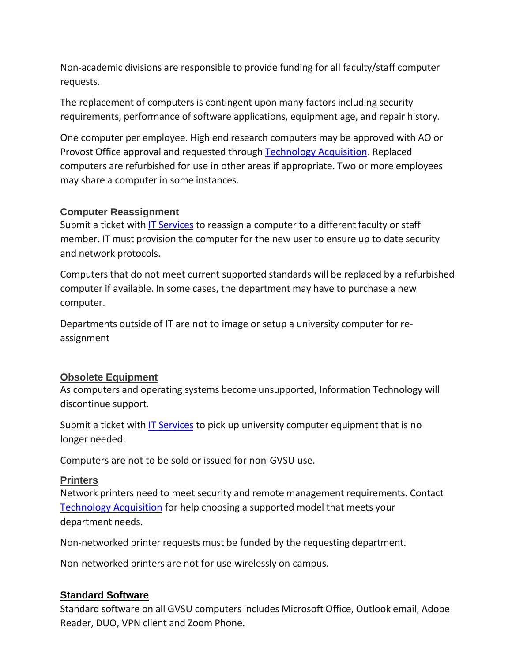Non-academic divisions are responsible to provide funding for all faculty/staff computer requests.

The replacement of computers is contingent upon many factors including security requirements, performance of software applications, equipment age, and repair history.

One computer per employee. High end research computers may be approved with AO or Provost Office approval and requested through [Technology Acquisition.](mailto:techsupply@gvsu.edu) Replaced computers are refurbished for use in other areas if appropriate. Two or more employees may share a computer in some instances.

#### **Computer Reassignment**

Submit a ticket with [IT Services](https://services.gvsu.edu/TDClient/60/Portal/Home/) to reassign a computer to a different faculty or staff member. IT must provision the computer for the new user to ensure up to date security and network protocols.

Computers that do not meet current supported standards will be replaced by a refurbished computer if available. In some cases, the department may have to purchase a new computer.

Departments outside of IT are not to image or setup a university computer for reassignment

### **Obsolete Equipment**

As computers and operating systems become unsupported, Information Technology will discontinue support.

Submit a ticket with [IT Services](https://services.gvsu.edu/TDClient/60/Portal/Home/) to pick up university computer equipment that is no longer needed.

Computers are not to be sold or issued for non-GVSU use.

#### **Printers**

Network printers need to meet security and remote management requirements. Contact [Technology Acquisition](mailto:techsupply@gvsu.edu) for help choosing a supported model that meets your department needs.

Non-networked printer requests must be funded by the requesting department.

Non-networked printers are not for use wirelessly on campus.

#### **Standard Software**

Standard software on all GVSU computers includes Microsoft Office, Outlook email, Adobe Reader, DUO, VPN client and Zoom Phone.